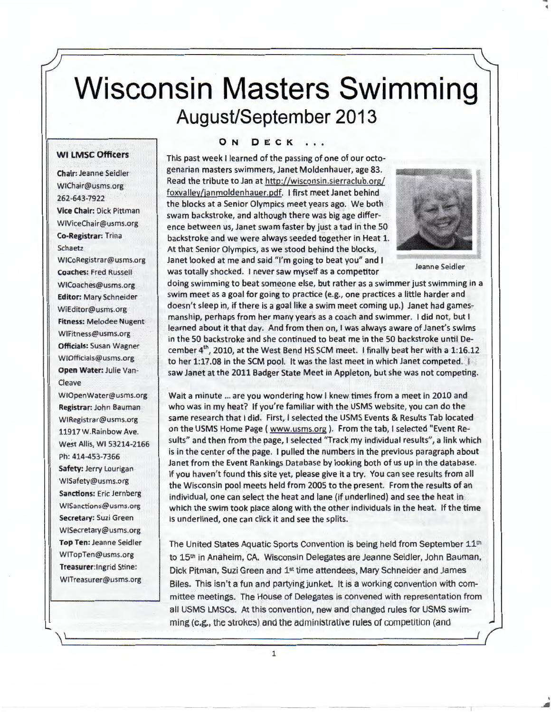# Wisconsin Masters Swimming August/September 2013

#### **WI LMSC Officers**

**Chair:** Jeanne Seidler WIChair@usms.org 262-643-7922 **Vice Chair:** Dick Pittman WIViceChair@usms.org **Co-Registrar:** Trina **Schaetz** WICoRegistrar@usms.org **Coaches:** Fred Russell WICoaches@usms.org **Editor:** Mary Schneider WiEditor@usms.org **Fitness:** Melodee Nugent WIFitness@usms.org **Officials:** Susan Wagner WIOfficials@usms.org **Open Water:** Julie Van-Cleave

WIOpenWater@usms.org **Registrar:** John Bauman WIRegistrar@usms.org 11917 W.Rainbow Ave. West Allis, WI 53214-2166 Ph: 414-453-7366 **Safety:** Jerry Lourigan W1Safety@usms.org **Sanctions:** Eric Jernberg WISanctions@usms.org **Secretary:** Suzi Green WISecretary@usms.org **Top Ten:** Jeanne Seidler WITopTen@usms.org **Treasurer:lngrid** Stine: WITreasurer@usms.org

#### **ON DECK**

This past week I learned of the passing of one of our octogenarian masters swimmers, Janet Moldenhauer, age 83. Read the tribute to Jan at http://wisconsin.sierraclub.org/ foxvalley/janmoldenhauer.pdf. I first meet Janet behind the blocks at a Senior Olympics meet years ago. We both swam backstroke, and although there was big age difference between us, Janet swam faster by just a tad in the SO backstroke and we were always seeded together in Heat 1. At that Senior Olympics, as we stood behind the blocks, Janet looked at me and said "I'm going to beat you" and I was totally shocked. I never saw myself as a competitor Jeanne Seidler



,.

doing swimming to beat someone else, but rather as a swimmer just swimming in a swim meet as a goal for going to practice (e.g., one practices a little harder and doesn't sleep in, if there is a goal like a swim meet coming up.) Janet had gamesmanship, perhaps from her many years as a coach and swimmer. I did not, but I learned about it that day. And from then on, I was always aware of Janet's swims in the SO backstroke and she continued to beat me in the 50 backstroke until December  $4<sup>th</sup>$ , 2010, at the West Bend HS SCM meet. I finally beat her with a 1:16.12 to her 1:17.08 in the SCM pool. It was the last meet in which Janet competed. I saw Janet at the 2011 Badger State Meet in Appleton, but she was not competing.

Wait a minute ... are you wondering how I knew times from a meet in 2010 and who was in my heat? If you're familiar with the USMS website, you can do the same research that I did. First, I selected the USMS Events & Results Tab located on the USMS Home Page ( www.usms.org ). From the tab, I selected "Event Results" and then from the page, I selected "Track my individual results", a link which is in the center of the page. I pulled the numbers in the previous paragraph about Janet from the Event Rankings Database by looking both of us up in the database. If you haven't found this site yet, please give it a try. You can see results from all the Wisconsin pool meets held from 2005 to the present. From the results of an individual, one can select the heat and lane (if underlined) and see the heat in which the swim took place along with the other individuals in the heat. If the time is underlined, one can click it and see the splits.

The United States Aquatic Sports Convention is being held from September 11<sup>th</sup> to 15th in Anaheim, CA. Wisconsin Delegates are Jeanne Seidler, John Bauman, Dick Pitman, Suzi Green and 1st time attendees, Mary Schneider and James Biles. This isn't a fun and partying junket. It is a working convention with committee meetings. The House of Delegates is convened with representation from all USMS LMSCs. At this convention, new and changed rules for USMS swimming (e.g., the 5troke5) and the administrative rules of competition (and

1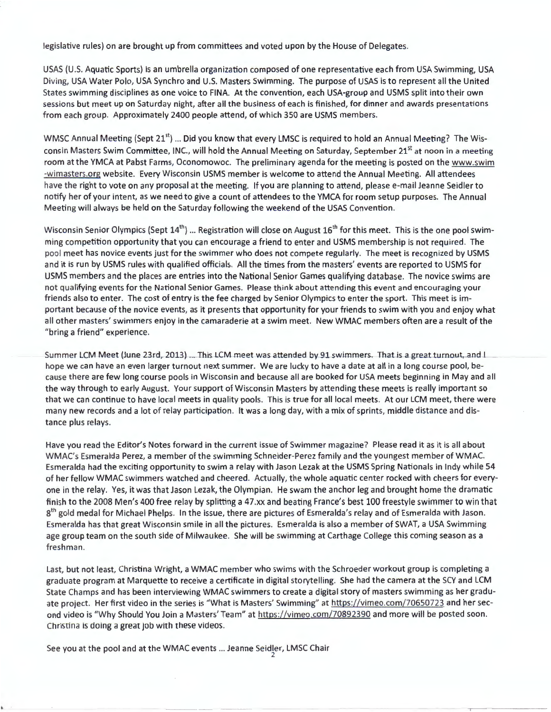legislative rules) on are brought up from committees and voted upon by the House of Delegates.

USAS (U.S. Aquatic Sports) is an umbrella organization composed of one representative each from USA Swimming, USA Diving, USA Water Polo, USA Synchro and U.S. Masters Swimming. The purpose of USAS is to represent all the United States swimming disciplines as one voice to FINA. At the convention, each USA-group and USMS split into their own sessions but meet up on Saturday night, after all the business of each is finished, for dinner and awards presentations from each group. Approximately 2400 people attend, of which 350 are USMS members.

WMSC Annual Meeting (Sept 21<sup>st</sup>) ... Did you know that every LMSC is required to hold an Annual Meeting? The Wisconsin Masters Swim Committee, INC., will hold the Annual Meeting on Saturday, September 21<sup>st</sup> at noon in a meeting room at the YMCA at Pabst Farms, Oconomowoc. The preliminary agenda for the meeting is posted on the www.swim -wimasters.org website. Every Wisconsin USMS member is welcome to attend the Annual Meeting. All attendees have the right to vote on any proposal at the meeting. If you are planning to attend, please e-mail Jeanne Seidler to notify her of your intent, as we need to give a count of attendees to the YMCA for room setup purposes. The Annual Meeting will always be held on the Saturday following the weekend of the USAS Convention.

Wisconsin Senior Olympics (Sept  $14^{\text{th}}$ ) … Registration will close on August  $16^{\text{th}}$  for this meet. This is the one pool swimming competition opportunity that you can encourage a friend to enter and USMS membership is not required. The pool meet has novice events just for the swimmer who does not compete regularly. The meet is recognized by USMS and it is run by USMS rules with qualified officials. All the times from the masters' events are reported to USMS for USMS members and the places are entries into the National Senior Games qualifying database. The novice swims are not qualifying events for the National Senior Games. Please think about attending this event and encouraging your friends also to enter. The cost of entry is the fee charged by Senior Olympics to enter the sport. This meet is important because of the novice events, as it presents that opportunity for your friends to swim with you and enjoy what all other masters' swimmers enjoy in the camaraderie at a swim meet. New WMAC members often are a result of the "bring a friend" experience.

Summer LCM Meet (June 23rd, 2013) ... This LCM meet was attended by 91 swimmers. That is a great turnout, and I hope we can have an even larger turnout next summer. We are lucky to have a date at all in a long course pool, because there are few long course pools in Wisconsin and because all are booked for USA meets beginning in May and all the way through to early August. Your support of Wisconsin Masters by attending these meets is really important so that we can continue to have local meets in quality pools. This is true for all local meets. At our LCM meet, there were many new records and a lot of relay participation. It was a long day, with a mix of sprints, middle distance and distance plus relays.

Have you read the Editor's Notes forward in the current issue of Swimmer magazine? Please read it as it is all about WMAC's Esmeralda Perez, a member of the swimming Schneider-Perez family and the youngest member of WMAC. Esmeralda had the exciting opportunity to swim a relay with Jason Lezak at the USMS Spring Nationals in Indy while 54 of her fellow WMAC swimmers watched and cheered. Actually, the whole aquatic center rocked with cheers for everyone in the relay. Yes, it was that Jason Lezak, the Olympian. He swam the anchor leg and brought home the dramatic finish to the 2008 Men's 400 free relay by splitting a 47.xx and beating France's best 100 freestyle swimmer to win that  $8<sup>th</sup>$  gold medal for Michael Phelps. In the issue, there are pictures of Esmeralda's relay and of Esmeralda with Jason. Esmeralda has that great Wisconsin smile in all the pictures. Esmeralda is also a member of SWAT, a USA Swimming age group team on the south side of Milwaukee. She will be swimming at Carthage College this coming season as a freshman.

Last, but not least, Christina Wright, a WMAC member who swims with the Schroeder workout group is completing a graduate program at Marquette to receive a certificate in digital storytelling. She had the camera at the SCY and LCM State Champs and has been interviewing WMAC swimmers to create a digital story of masters swimming as her graduate project. Her first video in the series is "What is Masters' Swimming" at https://vimeo.com/70650723 and her second video is "Why Should You Join a Masters' Team" at https://vimeo.com/70892390 and more will be posted soon. Christina is doing a great job with these videos.

See you at the pool and at the WMAC events ... Jeanne Seidler, LMSC Chair 2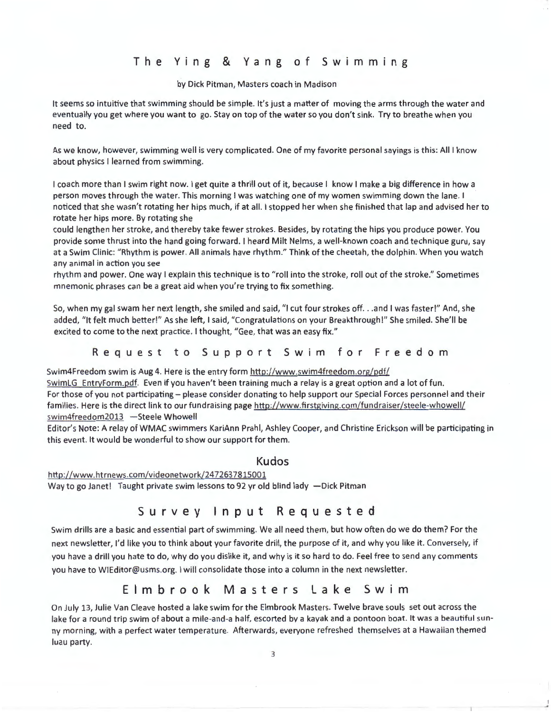# The Ying & Yang of Swimming

#### by Dick Pitman, Masters coach in Madison

It seems so intuitive that swimming should be simple. It's just a matter of moving the arms through the water and eventually you get where you want to go. Stay on top of the water so you don't sink. Try to breathe when you need to.

As we know, however, swimming well is very complicated. One of my favorite personal sayings is this: All I know about physics I learned from swimming.

I coach more than I swim right now. I get quite a thrill out of it, because I know I make a big difference in how a person moves through the water. This morning I was watching one of my women swimming down the lane. I noticed that she wasn't rotating her hips much, if at all. I stopped her when she finished that lap and advised her to rotate her hips more. By rotating she

could lengthen her stroke, and thereby take fewer strokes. Besides, by rotating the hips you produce power. You provide some thrust into the hand going forward. I heard Milt Nelms, a well-known coach and technique guru, say at a Swim Clinic: "Rhythm is power. All animals have rhythm." Think of the cheetah, the dolphin. When you watch any animal in action you see

rhythm and power. One way I explain this technique is to "roll into the stroke, roll out of the stroke." Sometimes mnemonic phrases can be a great aid when you're trying to fix something.

So, when my gal swam her next length, she smiled and said, "I cut four strokes off. . .and I was faster!" And, she added, "It felt much better!" As she left, I said, "Congratulations on your Breakthrough!" She smiled. She'll be excited to come to the next practice. I thought, "Gee, that was an easy fix."

Request to Support Swim for Freedom

Swim4Freedom swim is Aug 4. Here is the entry form http://www.swim4freedom.org/pdf/

SwimLG EntryForm.pdf. Even if you haven't been training much a relay is a great option and a lot of fun. For those of you not participating - please consider donating to help support our Special Forces personnel and their families. Here is the direct link to our fundraising page http://www.firstgiving.com/fundraiser/steele-whowell/ swim4freedom2013 -Steele Whowell

Editor's Note: A relay of WMAC swimmers KariAnn Prahl, Ashley Cooper, and Christine Erickson will be participating in this event. It would be wonderful to show our support for them.

#### Kudos

http://www.htrnews.com/videonetwork/2472637815001 Way to go Janet! Taught private swim lessons to 92 yr old blind lady -Dick Pitman

## Survey Input Requested

Swim drills are a basic and essential part of swimming. We all need them, but how often do we do them? For the next newsletter, I'd like you to think about your favorite drill, the purpose of it, and why you like it. Conversely, if you have a drill you hate to do, why do you dislike it, and why is it so hard to do. Feel free to send any comments you have to WIEditor@usms.org. I will consolidate those into a column in the next newsletter.

## Elmbrook Masters Lake Swim

On July 13, Julie Van Cleave hosted a lake swim for the Elm brook Masters. Twelve brave souls set out across the lake for a round trip swim of about a mile-and-a half, escorted by a kayak and a pontoon boat. It was a beautiful sunny morning, with a perfect water temperature. Afterwards, everyone refreshed themselves at a Hawaiian themed luau party.

 $\overline{\phantom{a}}$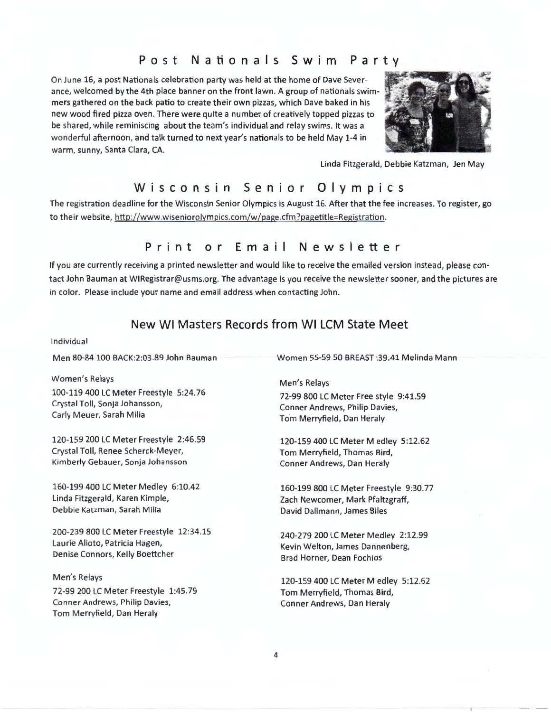## **Post Nationals Swim Party**

On June 16, a post Nationals celebration party was held at the home of Dave Severance, welcomed by the 4th place banner on the front lawn. A group of nationals swimmers gathered on the back patio to create their own pizzas, which Dave baked in his new wood fired pizza oven. There were quite a number of creatively topped pizzas to be shared, while reminiscing about the team's individual and relay swims. It was a wonderful afternoon, and talk turned to next year's nationals to be held May 1-4 in warm, sunny, Santa Clara, CA.



Linda Fitzgerald, Debbie Katzman, Jen May

## **Wisconsin Senior Olympics**

The registration deadline for the Wisconsin Senior Olympics is August 16. After that the fee increases. To register, go to their website, http://www.wiseniorolympics.com/w/page.cfm?pagetitle=Registration.

## **Print or Email Newsletter**

If you are currently receiving a printed newsletter and would like to receive the emailed version instead, please contact John Bauman at W1Registrar@usms.org. The advantage is you receive the newsletter sooner, and the pictures are in color. Please include your name and email address when contacting John.

## **New WI Masters Records from WI LCM State Meet**

Individual

Men 80-84 100 BACK:2:03 .89 John Bauman

Women's Relays

100-119 400 LC Meter Freestyle 5:24.76 Crystal Toll, Sonja Johansson, Carly Meuer, Sarah Milia

120-159 200 LC Meter Freestyle 2:46.59 Crystal Toll, Renee Scherck-Meyer, Kimberly Gebauer, Sonja Johansson

160-199 400 LC Meter Medley 6:10.42 Linda Fitzgerald, Karen Kimple, Debbie Katzman, Sarah Milia

200-239 800 LC Meter Freestyle 12:34.15 Laurie Alioto, Patricia Hagen, Denise Connors, Kelly Boettcher

Men's Relays 72-99 200 LC Meter Freestyle 1:45.79 Conner Andrews, Philip Davies, Tom Merryfield, Dan Heraly

Women 55-59 50 BREAST :39.41 Melinda Mann

Men's Relays 72-99 800 LC Meter Free style 9:41.59 Conner Andrews, Philip Davies, Tom Merryfield, Dan Heraly

120-159 400 LC Meter M edley 5:12.62 Tom Merryfield, Thomas Bird, Conner Andrews, Dan Heraly

160-199 800 LC Meter Freestyle 9:30.77 Zach Newcomer, Mark Pfaltzgraff, David Dallmann, James Biles

240-279 200 LC Meter Medley 2:12.99 Kevin Welton, James Dannenberg, Brad Horner, Dean Fochios

120-159 400 LC Meter M edley 5:12.62 Tom Merryfield, Thomas Bird, Conner Andrews, Dan Heraly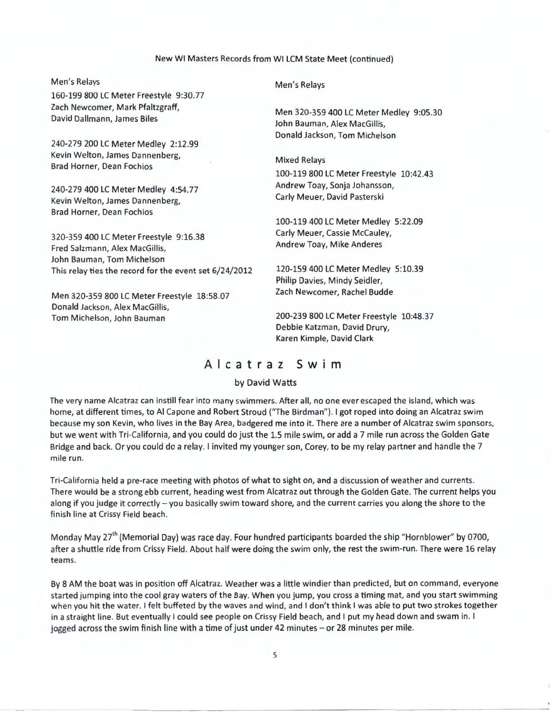#### New WI Masters Records from WI LCM State Meet (continued)

Men's Relays 160-199 800 LC Meter Freestyle 9:30.77 Zach Newcomer, Mark Pfaltzgraff, David Dallmann, James Biles 240-279 200 LC Meter Medley 2:12.99 Kevin Welton, James Dannenberg, Brad Horner, Dean Fochios 240-279 400 LC Meter Medley 4:54.77 Kevin Welton, James Dannenberg, Brad Horner, Dean Fochios 320-359 400 LC Meter Freestyle 9:16.38 Fred Salzmann, Alex MacGillis, John Bauman, Tom Michelson This relay ties the record for the event set 6/24/2012 Men 320-359 800 LC Meter Freestyle 18:58.07 Donald Jackson, Alex MacGillis, Tom Michelson, John Bauman Men's Relays Men 320-359 400 LC Meter Medley 9:05.30 John Bauman, Alex MacGillis, Donald Jackson, Tom Michelson Mixed Relays 100-119 800 LC Meter Freestyle 10:42.43 Andrew Toay, Sonja Johansson, Carly Meuer, David Pasterski 100-119 400 LC Meter Medley 5:22.09 Carly Meuer, Cassie McCauley, Andrew Toay, Mike Anderes 120-159 400 LC Meter Medley 5:10.39 Philip Davies, Mindy Seidler, Zach Newcomer, Rachel Budde 200-239 800 LC Meter Freestyle 10:48.37 Debbie Katzman, David Drury,

## **Alcatraz Swim**

Karen Kimple, David Clark

#### by David Watts

The very name Alcatraz can instill fear into many swimmers. After all, no one ever escaped the island, which was home, at different times, to Al Capone and Robert Stroud ("The Birdman"). I got roped into doing an Alcatraz swim because my son Kevin, who lives in the Bay Area, badgered me into it. There are a number of Alcatraz swim sponsors, but we went with Tri-California, and you could do just the 1.5 mile swim, or add a 7 mile run across the Golden Gate Bridge and back. Or you could do a relay. I invited my younger son, Corey, to be my relay partner and handle the 7 mile run.

Tri-California held a pre-race meeting with photos of what to sight on, and a discussion of weather and currents. There would be a strong ebb current, heading west from Alcatraz out through the Golden Gate. The current helps you along if you judge it correctly – you basically swim toward shore, and the current carries you along the shore to the finish line at Crissy Field beach.

Monday May 27<sup>th</sup> (Memorial Day) was race day. Four hundred participants boarded the ship "Hornblower" by 0700, after a shuttle ride from Crissy Field. About half were doing the swim only, the rest the swim-run. There were 16 relay teams.

By 8 AM the boat was in position off Alcatraz. Weather was a little windier than predicted, but on command, everyone started jumping into the cool gray waters ofthe Bay. When you jump, you cross a timing mat, and you start swimming when you hit the water. I felt buffeted by the waves and wind, and I don't think I was able to put two strokes together in a straight line. But eventually I could see people on Crissy Field beach, and I put my head down and swam in. I jogged across the swim finish line with a time of just under 42 minutes - or 28 minutes per mile.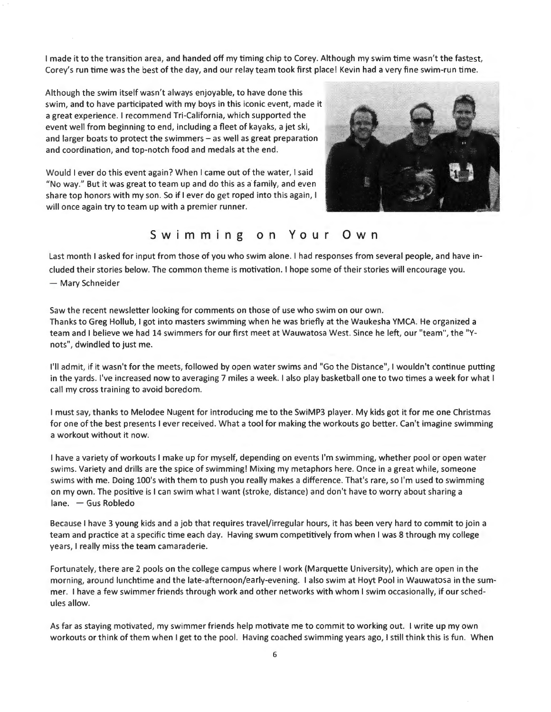I made it to the transition area, and handed off my timing chip to Corey. Although my swim time wasn't the fastest, Corey's run time was the best of the day, and our relay team took first place! Kevin had a very fine swim-run time.

Although the swim itself wasn't always enjoyable, to have done this swim, and to have participated with my boys in this iconic event, made it a great experience. I recommend Tri-California, which supported the event well from beginning to end, including a fleet of kayaks, a jet ski, and larger boats to protect the swimmers  $-$  as well as great preparation and coordination, and top-notch food and medals at the end.

Would I ever do this event again? When I came out of the water, I said **"No** way." But it was great to team up and do this as a'family, and even share top honors with my son. So if I ever do get roped into this again, I will once again try to team up with a premier runner.



# **Swimming on Your Own**

Last month I asked for input from those of you who swim alone. I had responses from several people, and have included their stories below. The common theme is motivation. I hope some of their stories will encourage you. - Mary Schneider

Saw the recent newsletter looking for comments on those of use who swim on our own. Thanks to Greg Hollub, I got into masters swimming when he was briefly at the Waukesha YMCA. He organized a team and I believe we had 14 swimmers for our first meet at Wauwatosa West. Since he left, our "team", the "Ynots", dwindled to just me.

I'll admit, if it wasn't for the meets, followed by open water swims and "Go the Distance", I wouldn't continue putting in the yards. I've increased now to averaging 7 miles a week. I also play basketball one to two times a week for what I call my cross training to avoid boredom.

I must say, thanks to Melodee Nugent for introducing me to the SwiMP3 player. My kids got it for me one Christmas for one of the best presents I ever received. What a tool for making the workouts go better. Can't imagine swimming a workout without it now.

I have a variety of workouts I make up for myself, depending on events I'm swimming, whether pool or open water swims. Variety and drills are the spice of swimming! Mixing my metaphors here. Once in a great while, someone swims with me. Doing l00's with them to push you really makes a difference. That's rare, so I'm used to swimming on my own. The positive is I can swim what I want (stroke, distance) and don't have to worry about sharing a lane. - Gus Robledo

Because I have 3 young kids and a job that requires travel/irregular hours, it has been very hard to commit to join a team and practice at a specific time each day. Having swum competitively from when I was 8 through my college years, I really miss the team camaraderie.

Fortunately, there are 2 pools on the college campus where I work (Marquette University), which are open in the morning, around lunchtime and the late-afternoon/early-evening. I also swim at Hoyt Pool in Wauwatosa in the summer. I have a few swimmer friends through work and other networks with whom I swim occasionally, if our schedules allow.

As far as staying motivated, my swimmer friends help motivate me to commit to working out. I write up my own workouts or think of them when I get to the pool. Having coached swimming years ago, I still think this is fun. When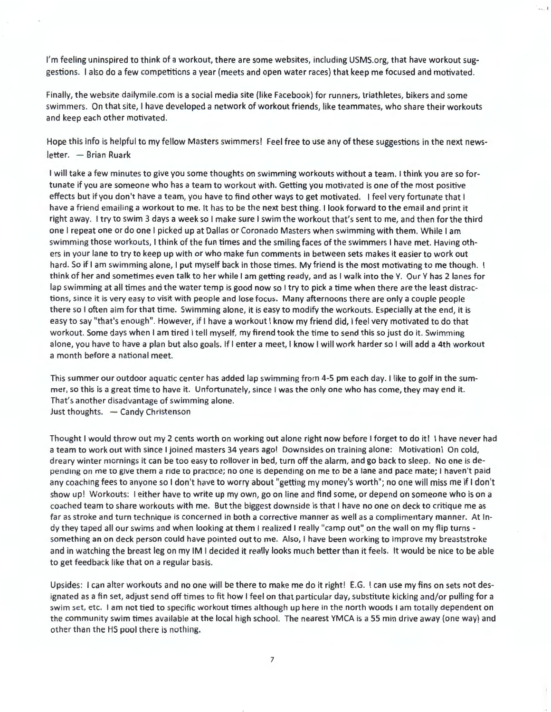I'm feeling uninspired to think of a workout, there are some websites, including USMS.org, that have workout suggestions. I also do a few competitions a year (meets and open water races) that keep me focused and motivated.

•.. l

Finally, the website dailymile.com is a social media site (like Facebook) for runners, triathletes, bikers and some swimmers. On that site, I have developed a network of workout friends, like teammates, who share their workouts and keep each other motivated.

Hope this info is helpful to my fellow Masters swimmers! Feel free to use any of these suggestions in the next newsletter. - Brian Ruark

I will take a few minutes to give you some thoughts on swimming workouts without a team. I think you are so fortunate if you are someone who has a team to workout with. Getting you motivated is one of the most positive effects but if you don't have a team, you have to find other ways to get motivated. I feel very fortunate that I have a friend emailing a workout to me. It has to be the next best thing. I look forward to the email and print it right away. I try to swim 3 days a week so I make sure I swim the workout that's sent to me, and then for the third one I repeat one or do one I picked up at Dallas or Coronado Masters when swimming with them. While I am swimming those workouts, I think of the fun times and the smiling faces of the swimmers I have met. Having others in your lane to try to keep up with or who make fun comments in between sets makes it easier to work out hard. So if I am swimming alone, I put myself back in those times. My friend is the most motivating to me though. I think of her and sometimes even talk to her while I am getting ready, and as I walk into the Y. Our Y has 2 lanes for lap swimming at all times and the water temp is good now so I try to pick a time when there are the least distractions, since it is very easy to visit with people and lose focus. Many afternoons there are only a couple people there so I often aim for that time. Swimming alone, it is easy to modify the workouts. Especially at the end, it is easy to say "that's enough". However, if I have a workout I know my friend did, I feel very motivated to do that workout. Some days when I am tired I tell myself, my firend took the time to send this so just do it. Swimming alone, you have to have a plan but also goals. If I enter a meet, I know I will work harder so I will add a 4th workout a month before a national meet.

This summer our outdoor aquatic center has added lap swimming from 4-5 pm each day. I like to golf in the summer, so this is a great time to have it. Unfortunately, since I was the only one who has come, they may end it. That's another disadvantage of swimming alone. Just thoughts. - Candy Christenson

Thought I would throw out my 2 cents worth on working out alone right now before I forget to do it! I have never had a team to work out with since I joined masters 34 years ago! Downsides on training alone: Motivation! On cold, dreary winter mornings it can be too easy to rollover in bed, turn off the alarm, and go back to sleep. No one is depending on me to give them a ride to practice; no one is depending on me to be a lane and pace mate; I haven't paid any coaching fees to anyone so I don't have to worry about "getting my money's worth"; no one will miss me if I don't show up! Workouts: I either have to write up my own, go on line and find some, or depend on someone who is on a coached team to share workouts with me. But the biggest downside is that I have no one on deck to critique me as far as stroke and turn technique is concerned in both a corrective manner as well as a complimentary manner. At Indy they taped all our swims and when looking at them I realized I really "camp out" on the wall on my flip turns something an on deck person could have pointed out to me. Also, I have been working to improve my breaststroke and in watching the breast leg on my IM I decided it really looks much better than it feels. It would be nice to be able to get feedback like that on a regular basis.

Upsides: I can alter workouts and no one will be there to make me do it right! E.G. I can use my fins on sets not designated as a fin set, adjust send off times to fit how I feel on that particular day, substitute kicking and/or pulling for a swim set, etc. I am not tied to specific workout times although up here in the north woods I am totally dependent on the community swim times available at the local high school. The nearest YMCA is a 55 min drive away (one way) and other than the HS pool there is nothing.

7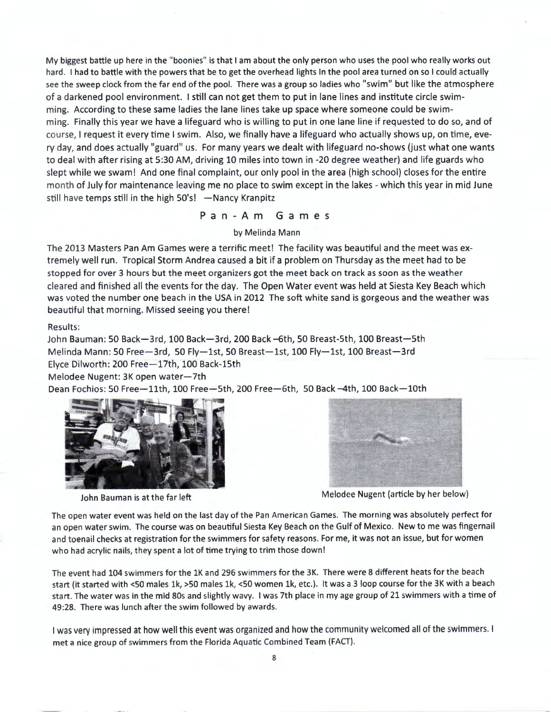My biggest battle up here in the "boonies" is that I am about the only person who uses the pool who really works out hard. I had to battle with the powers that be to get the overhead lights In the pool area turned on so I could actually see the sweep clock from the far end of the pool. There was a group so ladies who "swim" but like the atmosphere of a darkened pool environment. I still can not get them to put in lane lines and institute circle swimming. According to these same ladies the lane lines take up space where someone could be swimming. Finally this year we have a lifeguard who is willing to put in one lane line if requested to do so, and of course, I request it every time I swim. Also, we finally have a lifeguard who actually shows up, on time, every day, and does actually "guard" us. For many years we dealt with lifeguard no-shows (just what one wants to deal with after rising at 5:30 AM, driving 10 miles into town in -20 degree weather) and life guards who slept while we swam! And one final complaint, our only pool in the area (high school) closes for the entire month of July for maintenance leaving me no place to swim except in the lakes - which this year in mid June still have temps still in the high  $50's!$  -Nancy Kranpitz

Pan-Am Games

by Melinda Mann

The 2013 Masters Pan Am Games were a terrific meet! The facility was beautiful and the meet was extremely well run. Tropical Storm Andrea caused a bit if a problem on Thursday as the meet had to be stopped for over 3 hours but the meet organizers got the meet back on track as soon as the weather cleared and finished all the events for the day. The Open Water event was held at Siesta Key Beach which was voted the number one beach in the USA in 2012 The soft white sand is gorgeous and the weather was beautiful that morning. Missed seeing you there!

Results:

John Bauman: 50 Back-3rd, 100 Back-3rd, 200 Back -6th, 50 Breast-5th, 100 Breast-5th Melinda Mann: 50 Free-3rd, 50 Fly-1st, 50 Breast-1st, 100 Fly-1st, 100 Breast-3rd Elyce Dilworth: 200 Free-17th, 100 Back-15th Melodee Nugent: 3K open water-7th

Dean Fochios: 50 Free-11th, 100 Free-5th, 200 Free-6th, 50 Back-4th, 100 Back-10th





John Bauman is at the far left Melodee Nugent (article by her below)

The open water event was held on the last day of the Pan American Games. The morning was absolutely perfect for an open water swim. The course was on beautiful Siesta Key Beach on the Gulf of Mexico. New to me was fingernail and toenail checks at registration for the swimmers for safety reasons. For me, it was not an issue, but for women who had acrylic nails, they spent a lot of time trying to trim those down!

The event had 104 swimmers for the lK and 296 swimmers for the 3K. There were 8 different heats for the beach start (it started with <50 males lk, >50 males lk, <50 women lk, etc.). It was a 3 loop course for the 3K with a beach start. The water was in the mid 80s and slightly wavy. I was 7th place in my age group of 21 swimmers with a time of 49:28. There was lunch after the swim followed by awards.

I was very impressed at how well this event was organized and how the community welcomed all of the swimmers. I met a nice group of swimmers from the Florida Aquatic Combined Team (FACT).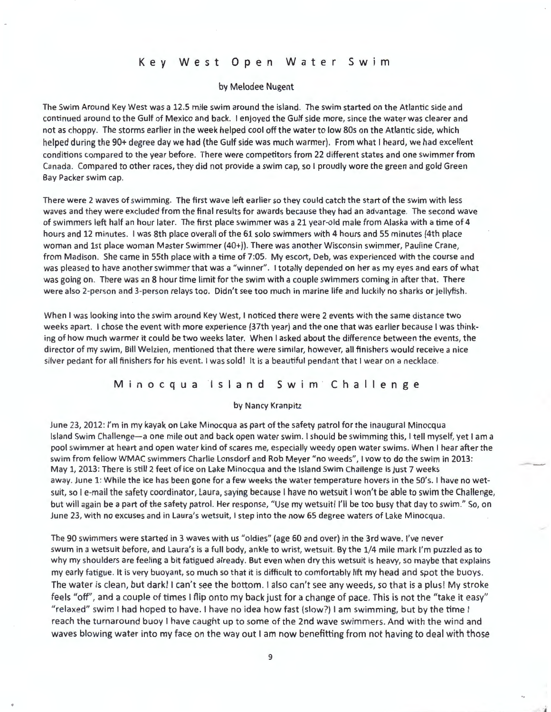## Key West Open Water Swim

#### by Melodee Nugent

The Swim Around Key West was a 12.5 mile swim around the island. The swim started on the Atlantic side and continued around to the Gulf of Mexico and back. I enjoyed the Gulf side more, since the water was clearer and not as choppy. The storms earlier in the week helped cool off the water to low 80s on the Atlantic side, which helped during the 90+ degree day we had (the Gulf side was much warmer). From what I heard, we had excellent conditions compared to the year before. There were competitors from 22 different states and one swimmer from Canada. Compared to other races, they did not provide a swim cap, so I proudly wore the green and gold Green Bay Packer swim cap.

There were 2 waves of swimming. The first wave left earlier so they could catch the start of the swim with less waves and they were excluded from the final results for awards because they had an advantage. The second wave of swimmers left half an hour later. The first place swimmer was a 21 year-old male from Alaska with a time of 4 hours and 12 minutes. I was 8th place overall of the 61 solo swimmers with 4 hours and 55 minutes (4th place woman and 1st place woman Master Swimmer (40+)). There was another Wisconsin swimmer, Pauline Crane, from Madison. She came in 55th place with a time of 7:05. My escort, Deb, was experienced with the course and was pleased to have another swimmer that was a "winner". I totally depended on her as my eyes and ears of what was going on. There was an 8 hour time limit for the swim with a couple swimmers coming in after that. There were also 2-person and 3-person relays too. Didn't see too much in marine life and luckily no sharks or jellyfish.

When I was looking into the swim around Key West, I noticed there were 2 events with the same distance two weeks apart. I chose the event with more experience (37th year) and the one that was earlier because I was thinking of how much warmer it could be two weeks later. When I asked about the difference between the events, the director of my swim, Bill Welzien, mentioned that there were similar, however, all finishers would receive a nice silver pedant for all finishers for his event. I was sold! It is a beautiful pendant that I wear on a necklace.

#### Minocqua Island Swim Challenge

#### by Nancy Kranpitz

June 23, 2012: I'm in my kayak on lake Minocqua as part of the safety patrol for the inaugural Minocqua Island Swim Challenge-a one mile out and back open water swim. I should be swimming this, I tell myself, yet I am a pool swimmer at heart and open water kind of scares me, especially weedy open water swims. When I hear after the swim from fellow WMAC swimmers Charlie Lonsdorf and Rob Meyer "no weeds", I vow to do the swim in 2013 : May 1, 2013 : There is still 2 feet of ice on Lake Minocqua and the Island Swim Challenge is just 7 weeks away. June 1: While the ice has been gone for a few weeks the water temperature hovers in the S0's. I have no wetsuit, so I e-mail the safety coordinator, Laura, saying because I have no wetsuit I won't be able to swim the Challenge, but will again be a part of the safety patrol. Her response, "Use my wetsuit! I'll be too busy that day to swim." So, on June 23, with no excuses and in Laura's wetsuit, I step into the now 65 degree waters of Lake Minocqua.

---

The 90 swimmers were started in 3 waves with us "oldies" (age 60 and over) in the 3rd wave. I've never swum in a wetsuit before, and Laura's is a full body, ankle to wrist, wetsuit. By the 1/4 mile mark I'm puzzled as to why my shoulders are feeling a bit fatigued already. But even when dry this wetsuit is heavy, so maybe that explains my early fatigue. It is very buoyant, so much so that it is difficult to comfortably lift my head and spot the buoys. The water is clean, but dark! I can't see the bottom. I also can't see any weeds, so that is a plus! My stroke feels "off", and a couple of times I flip onto my back just for a change of pace. This is not the "take it easy" "relaxed" swim I had hoped to have. I have no idea how fast (slow?) I am swimming, but by the time I reach the turnaround buoy I have caught up to some of the 2nd wave swimmers. And with the wind and waves blowing water into my face on the way out I am now benefitting from not having to deal with those